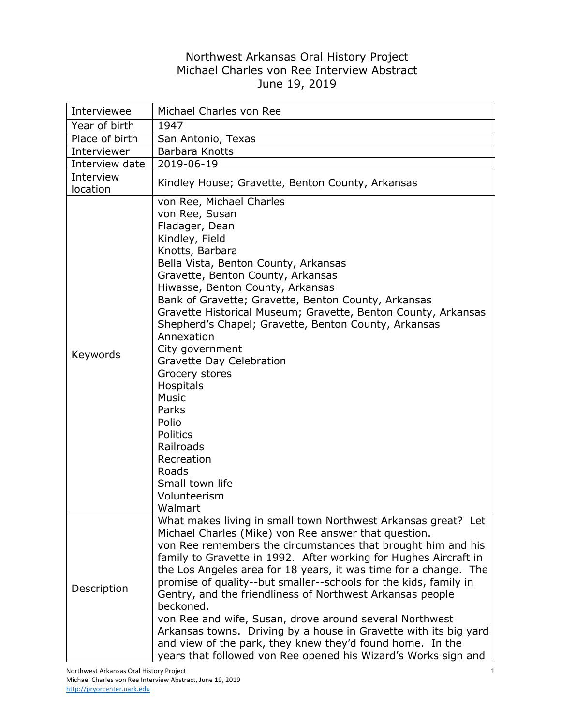## Northwest Arkansas Oral History Project Michael Charles von Ree Interview Abstract June 19, 2019

| Interviewee           | Michael Charles von Ree                                                                                                                                                                                                                                                                                                                                                                                                                                                                                                                                                                                                        |
|-----------------------|--------------------------------------------------------------------------------------------------------------------------------------------------------------------------------------------------------------------------------------------------------------------------------------------------------------------------------------------------------------------------------------------------------------------------------------------------------------------------------------------------------------------------------------------------------------------------------------------------------------------------------|
| Year of birth         | 1947                                                                                                                                                                                                                                                                                                                                                                                                                                                                                                                                                                                                                           |
| Place of birth        | San Antonio, Texas                                                                                                                                                                                                                                                                                                                                                                                                                                                                                                                                                                                                             |
| Interviewer           | Barbara Knotts                                                                                                                                                                                                                                                                                                                                                                                                                                                                                                                                                                                                                 |
| Interview date        | 2019-06-19                                                                                                                                                                                                                                                                                                                                                                                                                                                                                                                                                                                                                     |
| Interview<br>location | Kindley House; Gravette, Benton County, Arkansas                                                                                                                                                                                                                                                                                                                                                                                                                                                                                                                                                                               |
| Keywords              | von Ree, Michael Charles<br>von Ree, Susan<br>Fladager, Dean<br>Kindley, Field<br>Knotts, Barbara<br>Bella Vista, Benton County, Arkansas<br>Gravette, Benton County, Arkansas<br>Hiwasse, Benton County, Arkansas<br>Bank of Gravette; Gravette, Benton County, Arkansas<br>Gravette Historical Museum; Gravette, Benton County, Arkansas<br>Shepherd's Chapel; Gravette, Benton County, Arkansas<br>Annexation<br>City government<br>Gravette Day Celebration<br>Grocery stores<br>Hospitals<br><b>Music</b><br>Parks<br>Polio<br>Politics<br>Railroads<br>Recreation<br>Roads<br>Small town life<br>Volunteerism<br>Walmart |
| Description           | What makes living in small town Northwest Arkansas great? Let<br>Michael Charles (Mike) von Ree answer that question.<br>von Ree remembers the circumstances that brought him and his<br>family to Gravette in 1992. After working for Hughes Aircraft in<br>the Los Angeles area for 18 years, it was time for a change. The<br>promise of quality--but smaller--schools for the kids, family in<br>Gentry, and the friendliness of Northwest Arkansas people<br>beckoned.<br>von Ree and wife, Susan, drove around several Northwest                                                                                         |
|                       | Arkansas towns. Driving by a house in Gravette with its big yard<br>and view of the park, they knew they'd found home. In the<br>years that followed von Ree opened his Wizard's Works sign and                                                                                                                                                                                                                                                                                                                                                                                                                                |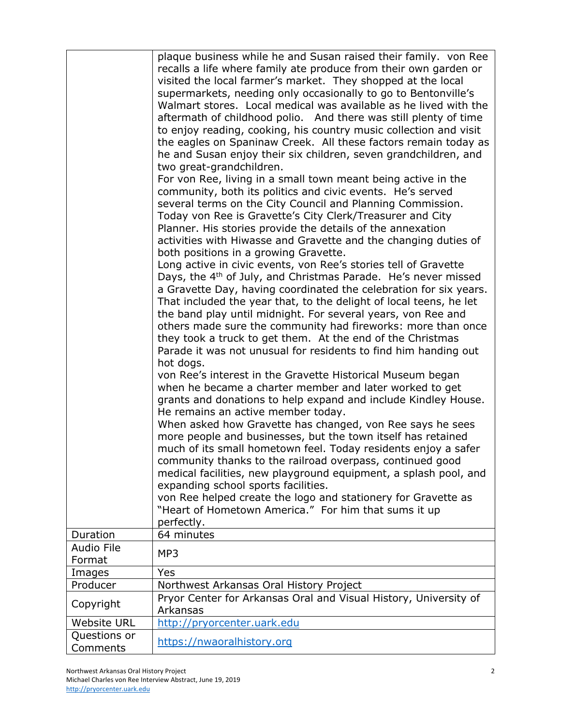|                    | plaque business while he and Susan raised their family. von Ree            |
|--------------------|----------------------------------------------------------------------------|
|                    | recalls a life where family ate produce from their own garden or           |
|                    | visited the local farmer's market. They shopped at the local               |
|                    | supermarkets, needing only occasionally to go to Bentonville's             |
|                    | Walmart stores. Local medical was available as he lived with the           |
|                    | aftermath of childhood polio. And there was still plenty of time           |
|                    | to enjoy reading, cooking, his country music collection and visit          |
|                    | the eagles on Spaninaw Creek. All these factors remain today as            |
|                    | he and Susan enjoy their six children, seven grandchildren, and            |
|                    | two great-grandchildren.                                                   |
|                    | For von Ree, living in a small town meant being active in the              |
|                    | community, both its politics and civic events. He's served                 |
|                    | several terms on the City Council and Planning Commission.                 |
|                    | Today von Ree is Gravette's City Clerk/Treasurer and City                  |
|                    | Planner. His stories provide the details of the annexation                 |
|                    |                                                                            |
|                    | activities with Hiwasse and Gravette and the changing duties of            |
|                    | both positions in a growing Gravette.                                      |
|                    | Long active in civic events, von Ree's stories tell of Gravette            |
|                    | Days, the 4 <sup>th</sup> of July, and Christmas Parade. He's never missed |
|                    | a Gravette Day, having coordinated the celebration for six years.          |
|                    | That included the year that, to the delight of local teens, he let         |
|                    | the band play until midnight. For several years, von Ree and               |
|                    | others made sure the community had fireworks: more than once               |
|                    | they took a truck to get them. At the end of the Christmas                 |
|                    | Parade it was not unusual for residents to find him handing out            |
|                    | hot dogs.                                                                  |
|                    | von Ree's interest in the Gravette Historical Museum began                 |
|                    | when he became a charter member and later worked to get                    |
|                    | grants and donations to help expand and include Kindley House.             |
|                    | He remains an active member today.                                         |
|                    | When asked how Gravette has changed, von Ree says he sees                  |
|                    | more people and businesses, but the town itself has retained               |
|                    | much of its small hometown feel. Today residents enjoy a safer             |
|                    | community thanks to the railroad overpass, continued good                  |
|                    | medical facilities, new playground equipment, a splash pool, and           |
|                    | expanding school sports facilities.                                        |
|                    | von Ree helped create the logo and stationery for Gravette as              |
|                    | "Heart of Hometown America." For him that sums it up                       |
|                    | perfectly.                                                                 |
| Duration           | 64 minutes                                                                 |
| <b>Audio File</b>  | MP3                                                                        |
| Format             |                                                                            |
| Images             | Yes                                                                        |
| Producer           | Northwest Arkansas Oral History Project                                    |
|                    | Pryor Center for Arkansas Oral and Visual History, University of           |
| Copyright          | Arkansas                                                                   |
| <b>Website URL</b> | http://pryorcenter.uark.edu                                                |
| Questions or       |                                                                            |
| Comments           | https://nwaoralhistory.org                                                 |